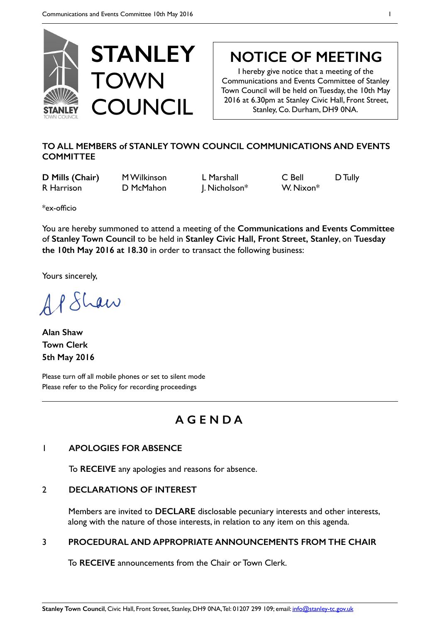

# **NOTICE OF MEETING**

I hereby give notice that a meeting of the Communications and Events Committee of Stanley Town Council will be held on Tuesday, the 10th May 2016 at 6.30pm at Stanley Civic Hall, Front Street, Stanley, Co. Durham, DH9 0NA.

# **TO ALL MEMBERS of STANLEY TOWN COUNCIL COMMUNICATIONS AND EVENTS COMMITTEE**

**D Mills (Chair)** M Wilkinson L Marshall C Bell D Tully R Harrison **D McMahon** J. Nicholson<sup>\*</sup> W. Nixon<sup>\*</sup>

\*ex-officio

You are hereby summoned to attend a meeting of the **Communications and Events Committee**  of **Stanley Town Council** to be held in **Stanley Civic Hall, Front Street, Stanley**, on **Tuesday the 10th May 2016 at 18.30** in order to transact the following business:

Yours sincerely,

AP Shaw

**Alan Shaw Town Clerk 5th May 2016** 

Please turn off all mobile phones or set to silent mode Please refer to the Policy for recording proceedings

# **A G E N D A**

# 1 **APOLOGIES FOR ABSENCE**

To **RECEIVE** any apologies and reasons for absence.

# 2 **DECLARATIONS OF INTEREST**

Members are invited to **DECLARE** disclosable pecuniary interests and other interests, along with the nature of those interests, in relation to any item on this agenda.

# 3 **PROCEDURAL AND APPROPRIATE ANNOUNCEMENTS FROM THE CHAIR**

To **RECEIVE** announcements from the Chair or Town Clerk.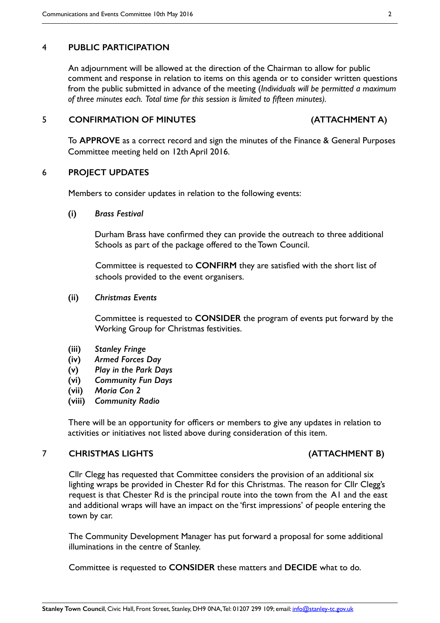# 4 **PUBLIC PARTICIPATION**

An adjournment will be allowed at the direction of the Chairman to allow for public comment and response in relation to items on this agenda or to consider written questions from the public submitted in advance of the meeting (*Individuals will be permitted a maximum of three minutes each. Total time for this session is limited to fifteen minutes).*

# 5 **CONFIRMATION OF MINUTES (ATTACHMENT A)**

To **APPROVE** as a correct record and sign the minutes of the Finance & General Purposes Committee meeting held on 12th April 2016.

# 6 **PROJECT UPDATES**

Members to consider updates in relation to the following events:

## **(i)** *Brass Festival*

Durham Brass have confirmed they can provide the outreach to three additional Schools as part of the package offered to the Town Council.

Committee is requested to **CONFIRM** they are satisfied with the short list of schools provided to the event organisers.

# **(ii)** *Christmas Events*

Committee is requested to **CONSIDER** the program of events put forward by the Working Group for Christmas festivities.

- **(iii)** *Stanley Fringe*
- **(iv)** *Armed Forces Day*
- **(v)** *Play in the Park Days*
- **(vi)** *Community Fun Days*
- **(vii)** *Moria Con 2*
- **(viii)** *Community Radio*

There will be an opportunity for officers or members to give any updates in relation to activities or initiatives not listed above during consideration of this item.

# 7 **CHRISTMAS LIGHTS (ATTACHMENT B)**

Cllr Clegg has requested that Committee considers the provision of an additional six lighting wraps be provided in Chester Rd for this Christmas. The reason for Cllr Clegg's request is that Chester Rd is the principal route into the town from the A1 and the east and additional wraps will have an impact on the 'first impressions' of people entering the town by car.

The Community Development Manager has put forward a proposal for some additional illuminations in the centre of Stanley.

Committee is requested to **CONSIDER** these matters and **DECIDE** what to do.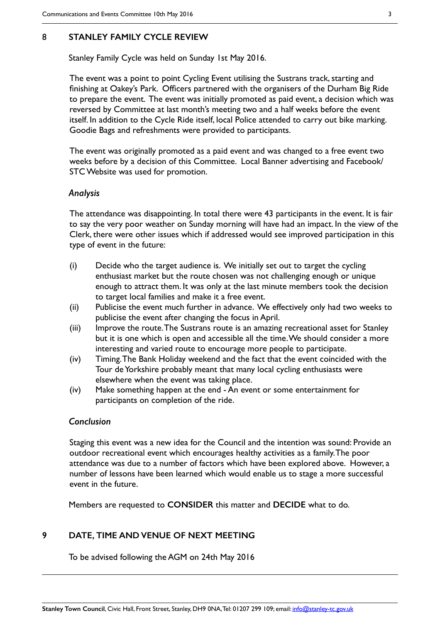# 8 **STANLEY FAMILY CYCLE REVIEW**

Stanley Family Cycle was held on Sunday 1st May 2016.

The event was a point to point Cycling Event utilising the Sustrans track, starting and finishing at Oakey's Park. Officers partnered with the organisers of the Durham Big Ride to prepare the event. The event was initially promoted as paid event, a decision which was reversed by Committee at last month's meeting two and a half weeks before the event itself. In addition to the Cycle Ride itself, local Police attended to carry out bike marking. Goodie Bags and refreshments were provided to participants.

The event was originally promoted as a paid event and was changed to a free event two weeks before by a decision of this Committee. Local Banner advertising and Facebook/ STC Website was used for promotion.

# *Analysis*

The attendance was disappointing. In total there were 43 participants in the event. It is fair to say the very poor weather on Sunday morning will have had an impact. In the view of the Clerk, there were other issues which if addressed would see improved participation in this type of event in the future:

- (i) Decide who the target audience is. We initially set out to target the cycling enthusiast market but the route chosen was not challenging enough or unique enough to attract them. It was only at the last minute members took the decision to target local families and make it a free event.
- (ii) Publicise the event much further in advance. We effectively only had two weeks to publicise the event after changing the focus in April.
- (iii) Improve the route. The Sustrans route is an amazing recreational asset for Stanley but it is one which is open and accessible all the time. We should consider a more interesting and varied route to encourage more people to participate.
- (iv) Timing. The Bank Holiday weekend and the fact that the event coincided with the Tour de Yorkshire probably meant that many local cycling enthusiasts were elsewhere when the event was taking place.
- (iv) Make something happen at the end An event or some entertainment for participants on completion of the ride.

# *Conclusion*

Staging this event was a new idea for the Council and the intention was sound: Provide an outdoor recreational event which encourages healthy activities as a family. The poor attendance was due to a number of factors which have been explored above. However, a number of lessons have been learned which would enable us to stage a more successful event in the future.

Members are requested to **CONSIDER** this matter and **DECIDE** what to do.

# **9 DATE, TIME AND VENUE OF NEXT MEETING**

To be advised following the AGM on 24th May 2016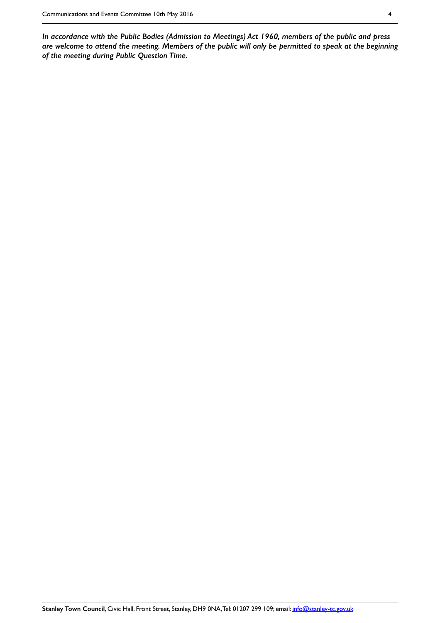*In accordance with the Public Bodies (Admission to Meetings) Act 1960, members of the public and press are welcome to attend the meeting. Members of the public will only be permitted to speak at the beginning of the meeting during Public Question Time.*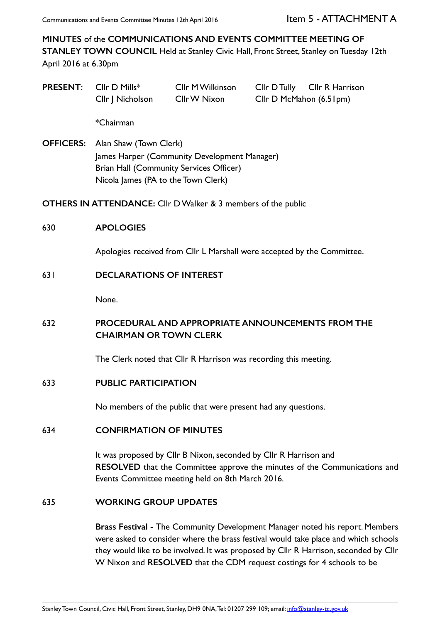**MINUTES** of the **COMMUNICATIONS AND EVENTS COMMITTEE MEETING OF STANLEY TOWN COUNCIL** Held at Stanley Civic Hall, Front Street, Stanley on Tuesday 12th April 2016 at 6.30pm

**PRESENT:** Cllr D Mills\* Cllr M Wilkinson Cllr D Tully Cllr R Harrison Cllr J Nicholson Cllr W Nixon Cllr D McMahon (6.51pm)

\*Chairman

**OFFICERS:** Alan Shaw (Town Clerk) James Harper (Community Development Manager) Brian Hall (Community Services Officer) Nicola James (PA to the Town Clerk)

**OTHERS IN ATTENDANCE:** Cllr D Walker & 3 members of the public

# 630 **APOLOGIES**

Apologies received from Cllr L Marshall were accepted by the Committee.

# 631 **DECLARATIONS OF INTEREST**

None.

# 632 **PROCEDURAL AND APPROPRIATE ANNOUNCEMENTS FROM THE CHAIRMAN OR TOWN CLERK**

The Clerk noted that Cllr R Harrison was recording this meeting.

# 633 **PUBLIC PARTICIPATION**

No members of the public that were present had any questions.

# 634 **CONFIRMATION OF MINUTES**

It was proposed by Cllr B Nixon, seconded by Cllr R Harrison and **RESOLVED** that the Committee approve the minutes of the Communications and Events Committee meeting held on 8th March 2016.

# 635 **WORKING GROUP UPDATES**

**Brass Festival -** The Community Development Manager noted his report. Members were asked to consider where the brass festival would take place and which schools they would like to be involved. It was proposed by Cllr R Harrison, seconded by Cllr W Nixon and **RESOLVED** that the CDM request costings for 4 schools to be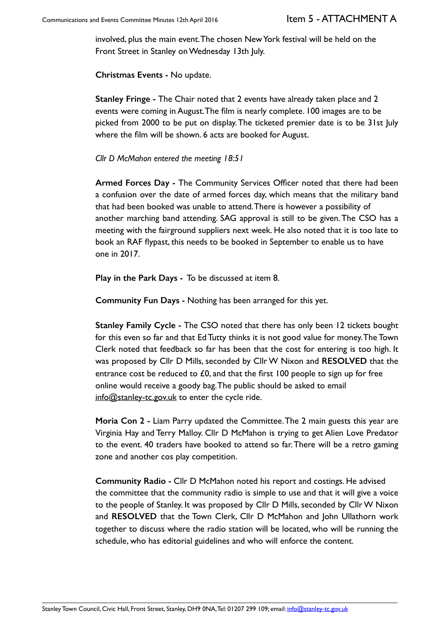involved, plus the main event. The chosen New York festival will be held on the Front Street in Stanley on Wednesday 13th July.

**Christmas Events -** No update.

**Stanley Fringe -** The Chair noted that 2 events have already taken place and 2 events were coming in August. The film is nearly complete. 100 images are to be picked from 2000 to be put on display. The ticketed premier date is to be 31st July where the film will be shown. 6 acts are booked for August.

# *Cllr D McMahon entered the meeting 18:51*

**Armed Forces Day -** The Community Services Officer noted that there had been a confusion over the date of armed forces day, which means that the military band that had been booked was unable to attend. There is however a possibility of another marching band attending. SAG approval is still to be given. The CSO has a meeting with the fairground suppliers next week. He also noted that it is too late to book an RAF flypast, this needs to be booked in September to enable us to have one in 2017.

**Play in the Park Days -** To be discussed at item 8.

**Community Fun Days -** Nothing has been arranged for this yet.

**Stanley Family Cycle -** The CSO noted that there has only been 12 tickets bought for this even so far and that Ed Tutty thinks it is not good value for money. The Town Clerk noted that feedback so far has been that the cost for entering is too high. It was proposed by Cllr D Mills, seconded by Cllr W Nixon and **RESOLVED** that the entrance cost be reduced to  $£0$ , and that the first 100 people to sign up for free online would receive a goody bag. The public should be asked to email info@stanley-tc.gov.uk to enter the cycle ride.

**Moria Con 2 -** Liam Parry updated the Committee. The 2 main guests this year are Virginia Hay and Terry Malloy. Cllr D McMahon is trying to get Alien Love Predator to the event. 40 traders have booked to attend so far. There will be a retro gaming zone and another cos play competition.

**Community Radio -** Cllr D McMahon noted his report and costings. He advised the committee that the community radio is simple to use and that it will give a voice to the people of Stanley. It was proposed by Cllr D Mills, seconded by Cllr W Nixon and **RESOLVED** that the Town Clerk, Cllr D McMahon and John Ullathorn work together to discuss where the radio station will be located, who will be running the schedule, who has editorial guidelines and who will enforce the content.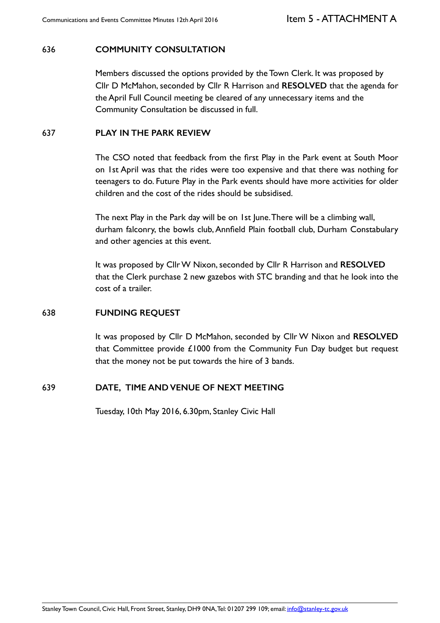# 636 **COMMUNITY CONSULTATION**

Members discussed the options provided by the Town Clerk. It was proposed by Cllr D McMahon, seconded by Cllr R Harrison and **RESOLVED** that the agenda for the April Full Council meeting be cleared of any unnecessary items and the Community Consultation be discussed in full.

# 637 **PLAY IN THE PARK REVIEW**

The CSO noted that feedback from the first Play in the Park event at South Moor on 1st April was that the rides were too expensive and that there was nothing for teenagers to do. Future Play in the Park events should have more activities for older children and the cost of the rides should be subsidised.

The next Play in the Park day will be on 1st June. There will be a climbing wall, durham falconry, the bowls club, Annfield Plain football club, Durham Constabulary and other agencies at this event.

It was proposed by Cllr W Nixon, seconded by Cllr R Harrison and **RESOLVED** that the Clerk purchase 2 new gazebos with STC branding and that he look into the cost of a trailer.

# 638 **FUNDING REQUEST**

It was proposed by Cllr D McMahon, seconded by Cllr W Nixon and **RESOLVED** that Committee provide £1000 from the Community Fun Day budget but request that the money not be put towards the hire of 3 bands.

# 639 **DATE, TIME AND VENUE OF NEXT MEETING**

Tuesday, 10th May 2016, 6.30pm, Stanley Civic Hall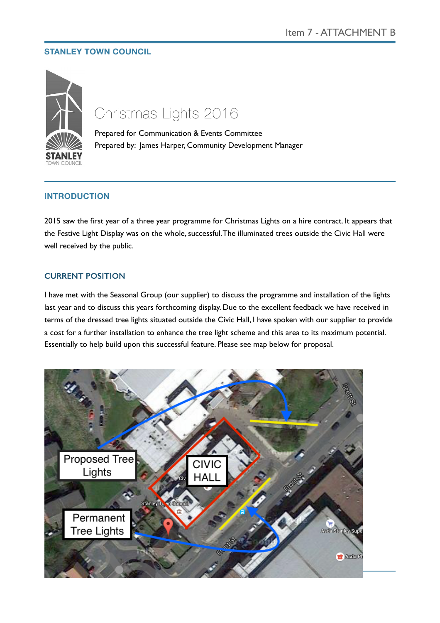# **STANLEY TOWN COUNCIL**



# Christmas Lights 2016

Prepared for Communication & Events Committee Prepared by: James Harper, Community Development Manager

# **INTRODUCTION**

2015 saw the first year of a three year programme for Christmas Lights on a hire contract. It appears that the Festive Light Display was on the whole, successful. The illuminated trees outside the Civic Hall were well received by the public.

# **CURRENT POSITION**

I have met with the Seasonal Group (our supplier) to discuss the programme and installation of the lights last year and to discuss this years forthcoming display. Due to the excellent feedback we have received in terms of the dressed tree lights situated outside the Civic Hall, I have spoken with our supplier to provide a cost for a further installation to enhance the tree light scheme and this area to its maximum potential. Essentially to help build upon this successful feature. Please see map below for proposal.